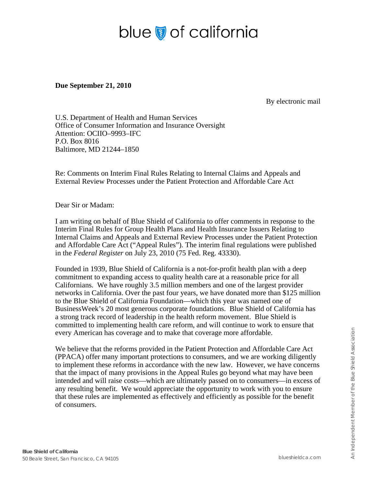# blue of california

**Due September 21, 2010** 

By electronic mail

U.S. Department of Health and Human Services Office of Consumer Information and Insurance Oversight Attention: OCIIO–9993–IFC P.O. Box 8016 Baltimore, MD 21244–1850

Re: Comments on Interim Final Rules Relating to Internal Claims and Appeals and External Review Processes under the Patient Protection and Affordable Care Act

Dear Sir or Madam:

I am writing on behalf of Blue Shield of California to offer comments in response to the Interim Final Rules for Group Health Plans and Health Insurance Issuers Relating to Internal Claims and Appeals and External Review Processes under the Patient Protection and Affordable Care Act ("Appeal Rules"). The interim final regulations were published in the *Federal Register* on July 23, 2010 (75 Fed. Reg. 43330).

Founded in 1939, Blue Shield of California is a not-for-profit health plan with a deep commitment to expanding access to quality health care at a reasonable price for all Californians. We have roughly 3.5 million members and one of the largest provider networks in California. Over the past four years, we have donated more than \$125 million to the Blue Shield of California Foundation—which this year was named one of BusinessWeek's 20 most generous corporate foundations. Blue Shield of California has a strong track record of leadership in the health reform movement. Blue Shield is committed to implementing health care reform, and will continue to work to ensure that every American has coverage and to make that coverage more affordable.

We believe that the reforms provided in the Patient Protection and Affordable Care Act (PPACA) offer many important protections to consumers, and we are working diligently to implement these reforms in accordance with the new law. However, we have concerns that the impact of many provisions in the Appeal Rules go beyond what may have been intended and will raise costs—which are ultimately passed on to consumers—in excess of any resulting benefit. We would appreciate the opportunity to work with you to ensure that these rules are implemented as effectively and efficiently as possible for the benefit of consumers.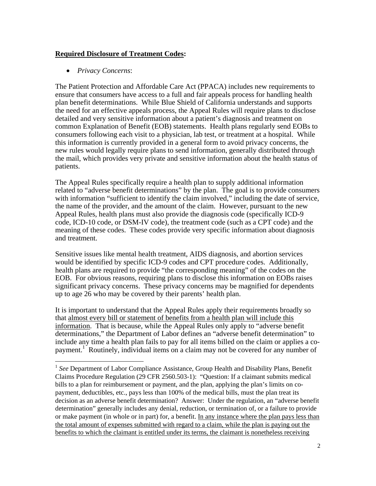# **Required Disclosure of Treatment Codes:**

• *Privacy Concerns*:

 $\overline{a}$ 

The Patient Protection and Affordable Care Act (PPACA) includes new requirements to ensure that consumers have access to a full and fair appeals process for handling health plan benefit determinations. While Blue Shield of California understands and supports the need for an effective appeals process, the Appeal Rules will require plans to disclose detailed and very sensitive information about a patient's diagnosis and treatment on common Explanation of Benefit (EOB) statements. Health plans regularly send EOBs to consumers following each visit to a physician, lab test, or treatment at a hospital. While this information is currently provided in a general form to avoid privacy concerns, the new rules would legally require plans to send information, generally distributed through the mail, which provides very private and sensitive information about the health status of patients.

The Appeal Rules specifically require a health plan to supply additional information related to "adverse benefit determinations" by the plan. The goal is to provide consumers with information "sufficient to identify the claim involved," including the date of service, the name of the provider, and the amount of the claim. However, pursuant to the new Appeal Rules, health plans must also provide the diagnosis code (specifically ICD-9 code, ICD-10 code, or DSM-IV code), the treatment code (such as a CPT code) and the meaning of these codes. These codes provide very specific information about diagnosis and treatment.

Sensitive issues like mental health treatment, AIDS diagnosis, and abortion services would be identified by specific ICD-9 codes and CPT procedure codes. Additionally, health plans are required to provide "the corresponding meaning" of the codes on the EOB. For obvious reasons, requiring plans to disclose this information on EOBs raises significant privacy concerns. These privacy concerns may be magnified for dependents up to age 26 who may be covered by their parents' health plan.

It is important to understand that the Appeal Rules apply their requirements broadly so that almost every bill or statement of benefits from a health plan will include this information. That is because, while the Appeal Rules only apply to "adverse benefit determinations," the Department of Labor defines an "adverse benefit determination" to include any time a health plan fails to pay for all items billed on the claim or applies a copayment.<sup>1</sup> Routinely, individual items on a claim may not be covered for any number of

<sup>&</sup>lt;sup>1</sup> See Department of Labor Compliance Assistance, Group Health and Disability Plans, Benefit Claims Procedure Regulation (29 CFR 2560.503-1): "Question: If a claimant submits medical bills to a plan for reimbursement or payment, and the plan, applying the plan's limits on copayment, deductibles, etc., pays less than 100% of the medical bills, must the plan treat its decision as an adverse benefit determination? Answer: Under the regulation, an "adverse benefit determination" generally includes any denial, reduction, or termination of, or a failure to provide or make payment (in whole or in part) for, a benefit. In any instance where the plan pays less than the total amount of expenses submitted with regard to a claim, while the plan is paying out the benefits to which the claimant is entitled under its terms, the claimant is nonetheless receiving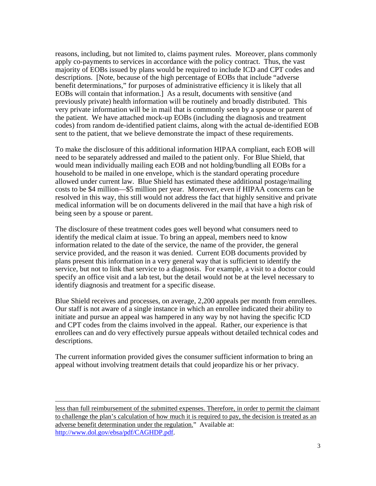reasons, including, but not limited to, claims payment rules. Moreover, plans commonly apply co-payments to services in accordance with the policy contract. Thus, the vast majority of EOBs issued by plans would be required to include ICD and CPT codes and descriptions. [Note, because of the high percentage of EOBs that include "adverse benefit determinations," for purposes of administrative efficiency it is likely that all EOBs will contain that information.] As a result, documents with sensitive (and previously private) health information will be routinely and broadly distributed. This very private information will be in mail that is commonly seen by a spouse or parent of the patient. We have attached mock-up EOBs (including the diagnosis and treatment codes) from random de-identified patient claims, along with the actual de-identified EOB sent to the patient, that we believe demonstrate the impact of these requirements.

To make the disclosure of this additional information HIPAA compliant, each EOB will need to be separately addressed and mailed to the patient only. For Blue Shield, that would mean individually mailing each EOB and not holding/bundling all EOBs for a household to be mailed in one envelope, which is the standard operating procedure allowed under current law. Blue Shield has estimated these additional postage/mailing costs to be \$4 million—\$5 million per year. Moreover, even if HIPAA concerns can be resolved in this way, this still would not address the fact that highly sensitive and private medical information will be on documents delivered in the mail that have a high risk of being seen by a spouse or parent.

The disclosure of these treatment codes goes well beyond what consumers need to identify the medical claim at issue. To bring an appeal, members need to know information related to the date of the service, the name of the provider, the general service provided, and the reason it was denied. Current EOB documents provided by plans present this information in a very general way that is sufficient to identify the service, but not to link that service to a diagnosis. For example, a visit to a doctor could specify an office visit and a lab test, but the detail would not be at the level necessary to identify diagnosis and treatment for a specific disease.

Blue Shield receives and processes, on average, 2,200 appeals per month from enrollees. Our staff is not aware of a single instance in which an enrollee indicated their ability to initiate and pursue an appeal was hampered in any way by not having the specific ICD and CPT codes from the claims involved in the appeal. Rather, our experience is that enrollees can and do very effectively pursue appeals without detailed technical codes and descriptions.

The current information provided gives the consumer sufficient information to bring an appeal without involving treatment details that could jeopardize his or her privacy.

less than full reimbursement of the submitted expenses. Therefore, in order to permit the claimant to challenge the plan's calculation of how much it is required to pay, the decision is treated as an adverse benefit determination under the regulation." Available at: http://www.dol.gov/ebsa/pdf/CAGHDP.pdf.

 $\overline{a}$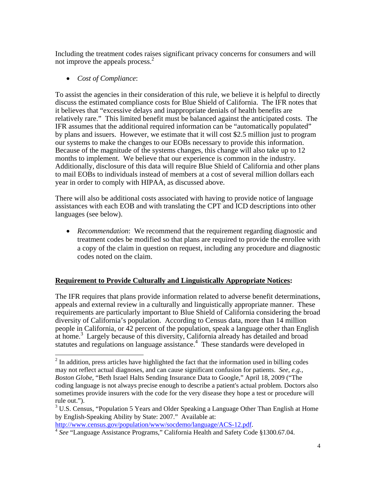Including the treatment codes raises significant privacy concerns for consumers and will not improve the appeals process.<sup>2</sup>

• *Cost of Compliance*:

 $\overline{a}$ 

To assist the agencies in their consideration of this rule, we believe it is helpful to directly discuss the estimated compliance costs for Blue Shield of California. The IFR notes that it believes that "excessive delays and inappropriate denials of health benefits are relatively rare." This limited benefit must be balanced against the anticipated costs. The IFR assumes that the additional required information can be "automatically populated" by plans and issuers. However, we estimate that it will cost \$2.5 million just to program our systems to make the changes to our EOBs necessary to provide this information. Because of the magnitude of the systems changes, this change will also take up to 12 months to implement. We believe that our experience is common in the industry. Additionally, disclosure of this data will require Blue Shield of California and other plans to mail EOBs to individuals instead of members at a cost of several million dollars each year in order to comply with HIPAA, as discussed above.

There will also be additional costs associated with having to provide notice of language assistances with each EOB and with translating the CPT and ICD descriptions into other languages (see below).

• *Recommendation*: We recommend that the requirement regarding diagnostic and treatment codes be modified so that plans are required to provide the enrollee with a copy of the claim in question on request, including any procedure and diagnostic codes noted on the claim.

# **Requirement to Provide Culturally and Linguistically Appropriate Notices:**

The IFR requires that plans provide information related to adverse benefit determinations, appeals and external review in a culturally and linguistically appropriate manner. These requirements are particularly important to Blue Shield of California considering the broad diversity of California's population. According to Census data, more than 14 million people in California, or 42 percent of the population, speak a language other than English at home.<sup>3</sup> Largely because of this diversity, California already has detailed and broad statutes and regulations on language assistance.<sup>4</sup> These standards were developed in

 $2<sup>2</sup>$  In addition, press articles have highlighted the fact that the information used in billing codes may not reflect actual diagnoses, and can cause significant confusion for patients. *See, e.g., Boston Globe*, "Beth Israel Halts Sending Insurance Data to Google," April 18, 2009 ("The coding language is not always precise enough to describe a patient's actual problem. Doctors also sometimes provide insurers with the code for the very disease they hope a test or procedure will rule out.").

 $3$  U.S. Census, "Population 5 Years and Older Speaking a Language Other Than English at Home by English-Speaking Ability by State: 2007." Available at:

http://www.census.gov/population/www/socdemo/language/ACS-12.pdf. 4 *See* "Language Assistance Programs," California Health and Safety Code §1300.67.04.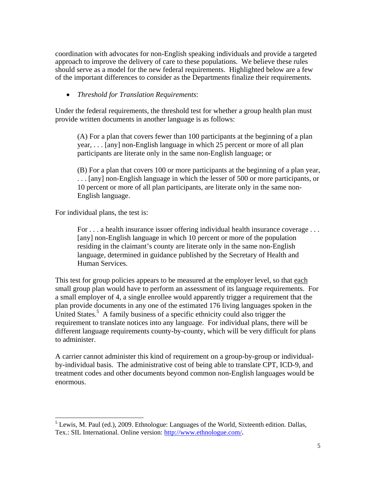coordination with advocates for non-English speaking individuals and provide a targeted approach to improve the delivery of care to these populations. We believe these rules should serve as a model for the new federal requirements. Highlighted below are a few of the important differences to consider as the Departments finalize their requirements.

# • *Threshold for Translation Requirements*:

Under the federal requirements, the threshold test for whether a group health plan must provide written documents in another language is as follows:

(A) For a plan that covers fewer than 100 participants at the beginning of a plan year, . . . [any] non-English language in which 25 percent or more of all plan participants are literate only in the same non-English language; or

(B) For a plan that covers 100 or more participants at the beginning of a plan year, . . . [any] non-English language in which the lesser of 500 or more participants, or 10 percent or more of all plan participants, are literate only in the same non-English language.

For individual plans, the test is:

 $\overline{a}$ 

For . . . a health insurance issuer offering individual health insurance coverage . . . [any] non-English language in which 10 percent or more of the population residing in the claimant's county are literate only in the same non-English language, determined in guidance published by the Secretary of Health and Human Services.

This test for group policies appears to be measured at the employer level, so that each small group plan would have to perform an assessment of its language requirements. For a small employer of 4, a single enrollee would apparently trigger a requirement that the plan provide documents in any one of the estimated 176 living languages spoken in the United States.<sup>5</sup> A family business of a specific ethnicity could also trigger the requirement to translate notices into any language. For individual plans, there will be different language requirements county-by-county, which will be very difficult for plans to administer.

A carrier cannot administer this kind of requirement on a group-by-group or individualby-individual basis. The administrative cost of being able to translate CPT, ICD-9, and treatment codes and other documents beyond common non-English languages would be enormous.

 $<sup>5</sup>$  Lewis, M. Paul (ed.), 2009. Ethnologue: Languages of the World, Sixteenth edition. Dallas,</sup> Tex.: SIL International. Online version: http://www.ethnologue.com/**.**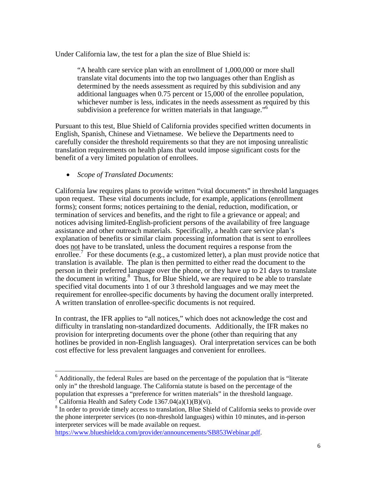Under California law, the test for a plan the size of Blue Shield is:

"A health care service plan with an enrollment of 1,000,000 or more shall translate vital documents into the top two languages other than English as determined by the needs assessment as required by this subdivision and any additional languages when 0.75 percent or 15,000 of the enrollee population, whichever number is less, indicates in the needs assessment as required by this subdivision a preference for written materials in that language."<sup>6</sup>

Pursuant to this test, Blue Shield of California provides specified written documents in English, Spanish, Chinese and Vietnamese. We believe the Departments need to carefully consider the threshold requirements so that they are not imposing unrealistic translation requirements on health plans that would impose significant costs for the benefit of a very limited population of enrollees.

• *Scope of Translated Documents*:

 $\overline{a}$ 

California law requires plans to provide written "vital documents" in threshold languages upon request. These vital documents include, for example, applications (enrollment forms); consent forms; notices pertaining to the denial, reduction, modification, or termination of services and benefits, and the right to file a grievance or appeal; and notices advising limited-English-proficient persons of the availability of free language assistance and other outreach materials. Specifically, a health care service plan's explanation of benefits or similar claim processing information that is sent to enrollees does not have to be translated, unless the document requires a response from the enrollee.<sup>7</sup> For these documents (e.g., a customized letter), a plan must provide notice that translation is available. The plan is then permitted to either read the document to the person in their preferred language over the phone, or they have up to 21 days to translate the document in writing. $\frac{8}{3}$  Thus, for Blue Shield, we are required to be able to translate specified vital documents into 1 of our 3 threshold languages and we may meet the requirement for enrollee-specific documents by having the document orally interpreted. A written translation of enrollee-specific documents is not required.

In contrast, the IFR applies to "all notices," which does not acknowledge the cost and difficulty in translating non-standardized documents. Additionally, the IFR makes no provision for interpreting documents over the phone (other than requiring that any hotlines be provided in non-English languages). Oral interpretation services can be both cost effective for less prevalent languages and convenient for enrollees.

https://www.blueshieldca.com/provider/announcements/SB853Webinar.pdf.

 $6$  Additionally, the federal Rules are based on the percentage of the population that is "literate" only in" the threshold language. The California statute is based on the percentage of the population that expresses a "preference for written materials" in the threshold language. 7 California Health and Safety Code 1367.04(a)(1)(B)(vi).

<sup>&</sup>lt;sup>8</sup> In order to provide timely access to translation, Blue Shield of California seeks to provide over the phone interpreter services (to non-threshold languages) within 10 minutes, and in-person interpreter services will be made available on request.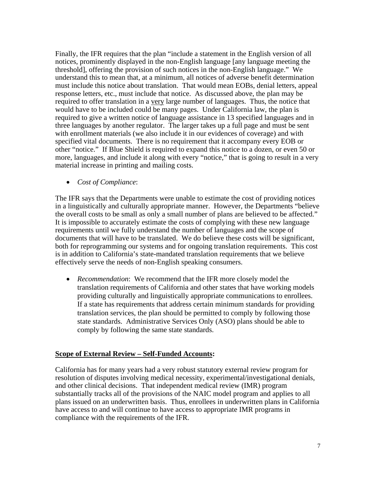Finally, the IFR requires that the plan "include a statement in the English version of all notices, prominently displayed in the non-English language [any language meeting the threshold], offering the provision of such notices in the non-English language." We understand this to mean that, at a minimum, all notices of adverse benefit determination must include this notice about translation. That would mean EOBs, denial letters, appeal response letters, etc., must include that notice. As discussed above, the plan may be required to offer translation in a very large number of languages. Thus, the notice that would have to be included could be many pages. Under California law, the plan is required to give a written notice of language assistance in 13 specified languages and in three languages by another regulator. The larger takes up a full page and must be sent with enrollment materials (we also include it in our evidences of coverage) and with specified vital documents. There is no requirement that it accompany every EOB or other "notice." If Blue Shield is required to expand this notice to a dozen, or even 50 or more, languages, and include it along with every "notice," that is going to result in a very material increase in printing and mailing costs.

• *Cost of Compliance*:

The IFR says that the Departments were unable to estimate the cost of providing notices in a linguistically and culturally appropriate manner. However, the Departments "believe the overall costs to be small as only a small number of plans are believed to be affected." It is impossible to accurately estimate the costs of complying with these new language requirements until we fully understand the number of languages and the scope of documents that will have to be translated. We do believe these costs will be significant, both for reprogramming our systems and for ongoing translation requirements. This cost is in addition to California's state-mandated translation requirements that we believe effectively serve the needs of non-English speaking consumers.

• *Recommendation*: We recommend that the IFR more closely model the translation requirements of California and other states that have working models providing culturally and linguistically appropriate communications to enrollees. If a state has requirements that address certain minimum standards for providing translation services, the plan should be permitted to comply by following those state standards. Administrative Services Only (ASO) plans should be able to comply by following the same state standards.

# **Scope of External Review – Self-Funded Accounts:**

California has for many years had a very robust statutory external review program for resolution of disputes involving medical necessity, experimental/investigational denials, and other clinical decisions. That independent medical review (IMR) program substantially tracks all of the provisions of the NAIC model program and applies to all plans issued on an underwritten basis. Thus, enrollees in underwritten plans in California have access to and will continue to have access to appropriate IMR programs in compliance with the requirements of the IFR.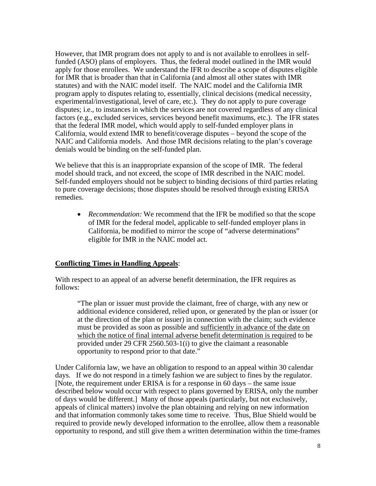However, that IMR program does not apply to and is not available to enrollees in selffunded (ASO) plans of employers. Thus, the federal model outlined in the IMR would apply for those enrollees. We understand the IFR to describe a scope of disputes eligible for IMR that is broader than that in California (and almost all other states with IMR statutes) and with the NAIC model itself. The NAIC model and the California IMR program apply to disputes relating to, essentially, clinical decisions (medical necessity, experimental/investigational, level of care, etc.). They do not apply to pure coverage disputes; i.e., to instances in which the services are not covered regardless of any clinical factors (e.g., excluded services, services beyond benefit maximums, etc.). The IFR states that the federal IMR model, which would apply to self-funded employer plans in California, would extend IMR to benefit/coverage disputes – beyond the scope of the NAIC and California models. And those IMR decisions relating to the plan's coverage denials would be binding on the self-funded plan.

We believe that this is an inappropriate expansion of the scope of IMR. The federal model should track, and not exceed, the scope of IMR described in the NAIC model. Self-funded employers should not be subject to binding decisions of third parties relating to pure coverage decisions; those disputes should be resolved through existing ERISA remedies.

• *Recommendation:* We recommend that the IFR be modified so that the scope of IMR for the federal model, applicable to self-funded employer plans in California, be modified to mirror the scope of "adverse determinations" eligible for IMR in the NAIC model act.

# **Conflicting Times in Handling Appeals**:

With respect to an appeal of an adverse benefit determination, the IFR requires as follows:

"The plan or issuer must provide the claimant, free of charge, with any new or additional evidence considered, relied upon, or generated by the plan or issuer (or at the direction of the plan or issuer) in connection with the claim; such evidence must be provided as soon as possible and sufficiently in advance of the date on which the notice of final internal adverse benefit determination is required to be provided under 29 CFR 2560.503-1(i) to give the claimant a reasonable opportunity to respond prior to that date."

Under California law, we have an obligation to respond to an appeal within 30 calendar days. If we do not respond in a timely fashion we are subject to fines by the regulator. [Note, the requirement under ERISA is for a response in 60 days – the same issue described below would occur with respect to plans governed by ERISA, only the number of days would be different.] Many of those appeals (particularly, but not exclusively, appeals of clinical matters) involve the plan obtaining and relying on new information and that information commonly takes some time to receive. Thus, Blue Shield would be required to provide newly developed information to the enrollee, allow them a reasonable opportunity to respond, and still give them a written determination within the time-frames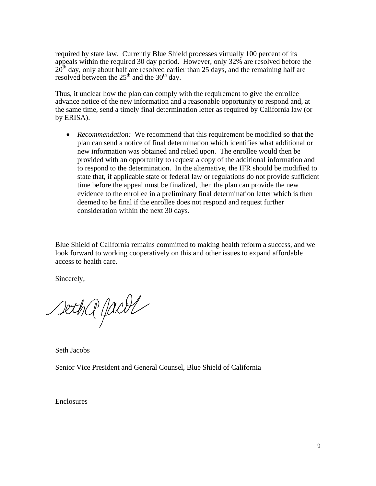required by state law. Currently Blue Shield processes virtually 100 percent of its appeals within the required 30 day period. However, only 32% are resolved before the  $20<sup>th</sup>$  day, only about half are resolved earlier than 25 days, and the remaining half are resolved between the  $25<sup>th</sup>$  and the 30<sup>th</sup> day.

Thus, it unclear how the plan can comply with the requirement to give the enrollee advance notice of the new information and a reasonable opportunity to respond and, at the same time, send a timely final determination letter as required by California law (or by ERISA).

• *Recommendation:* We recommend that this requirement be modified so that the plan can send a notice of final determination which identifies what additional or new information was obtained and relied upon. The enrollee would then be provided with an opportunity to request a copy of the additional information and to respond to the determination. In the alternative, the IFR should be modified to state that, if applicable state or federal law or regulations do not provide sufficient time before the appeal must be finalized, then the plan can provide the new evidence to the enrollee in a preliminary final determination letter which is then deemed to be final if the enrollee does not respond and request further consideration within the next 30 days.

Blue Shield of California remains committed to making health reform a success, and we look forward to working cooperatively on this and other issues to expand affordable access to health care.

Sincerely,

sethQ Jacol

Seth Jacobs

Senior Vice President and General Counsel, Blue Shield of California

Enclosures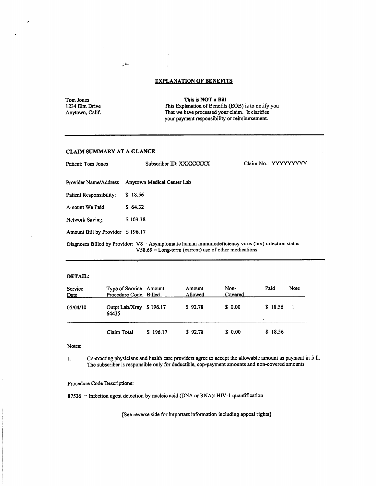| Tom Jones       | This is NOT a Bill                                  |
|-----------------|-----------------------------------------------------|
| 1234 Elm Drive  | This Explanation of Benefits (EOB) is to notify you |
| Anytown, Calif. | That we have processed your claim. It clarifies     |
|                 | your payment responsibility or reimbursement.       |

 $\epsilon$ 

#### CLAIM SUMMARY AT A GLANCE

 $\frac{1}{\rho}m_{\mu}$ 

| Patient: Tom Jones               | Subscriber ID: XXXXXXXX                                                                                                                                         | Claim No.: YYYYYYYYY |
|----------------------------------|-----------------------------------------------------------------------------------------------------------------------------------------------------------------|----------------------|
| Provider Name/Address            | Anytown Medical Center Lab                                                                                                                                      |                      |
| Patient Responsibility:          | \$18.56                                                                                                                                                         |                      |
| Amount We Paid                   | \$64.32                                                                                                                                                         |                      |
| Network Saving:                  | \$103.38                                                                                                                                                        |                      |
| Amount Bill by Provider \$196.17 |                                                                                                                                                                 |                      |
|                                  | Diagnoses Billed by Provider: V8 = Asymptomatic human immunodeficiency virus (hiv) infection status<br>$V$ 58.69 = Long-term (current) use of other medications |                      |

### DETAIL:

×

| Service<br><b>Date</b> | Type of Service Amount<br>Procedure Code Billed |          | Amount<br>Allowed | Non-<br>Covered | Paid<br>Note |
|------------------------|-------------------------------------------------|----------|-------------------|-----------------|--------------|
| 05/04/10               | Outpt Lab/Xray \$196.17<br>64435                |          | \$92.78           | \$ 0.00         | \$18.56      |
|                        | Claim Total                                     | \$196.17 | \$92.78           | \$ 0.00         | \$18.56      |

Notes:

Contracting physicians and health care providers agree to accept the allowable amount as payment in full. 1. The subscriber is responsible only for deductible, cop-payment amounts and non-covered amounts.

#### Procedure Code Descriptions:

87536 = Infection agent detection by nucleic acid (DNA or RNA): HIV-1 quantification

[See reverse side for important information including appeal rights]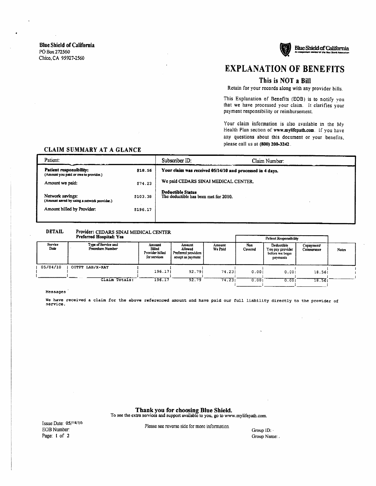

**Blue Shield of California** 

**EXPLANATION OF BENEFITS** 

## This is NOT a Bill

Retain for your records along with any provider bills.

This Explanation of Benefits (EOB) is to notify you that we have processed your claim. It clarifies your payment responsibility or reimbursement.

Your claim information is also available in the My Health Plan section of www.mylifepath.com. If you have any questions about this document or your benefits. please call us at (800) 200-3242.

# **CLAIM SUMMARY AT A GLANCE**

| Patient:                                                                                      |                      | Subscriber ID:                                                    | Claim Number: |  |
|-----------------------------------------------------------------------------------------------|----------------------|-------------------------------------------------------------------|---------------|--|
| Patient responsibility:<br>(Amount you paid or owe to provider.)                              | \$18.56              | Your claim was received 05/14/10 and processed in 4 days,         |               |  |
| Amount we paid:                                                                               | \$74.23              | We paid CEDARS SINAI MEDICAL CENTER.                              |               |  |
| Network savings:<br>(Amount saved by using a network provider.)<br>Amount billed by Provider: | \$103.38<br>\$196.17 | <b>Deductible Status</b><br>The deductible has been met for 2010. |               |  |

#### **DETAIL** Provider: CEDARS SINAI MEDICAL CENTER

|                 | TIERIIER HASPIRI, TES                   |                                                     |                                                               |                   |                | Patient Responsibility                                        |                           |              |  |
|-----------------|-----------------------------------------|-----------------------------------------------------|---------------------------------------------------------------|-------------------|----------------|---------------------------------------------------------------|---------------------------|--------------|--|
| Service<br>Date | Type of Service and<br>Procedure Number | Amount<br>Billed<br>Provider billed<br>for services | Amount<br>Allowed<br>Preferred providers<br>accept as navment | Amount<br>We Paid | Non<br>Covered | Deductible<br>You pay provider<br>before we begin<br>payments | Copayment/<br>Coinsurance | <b>Notes</b> |  |
| 05/04/10        | OUTPT LAB/X-RAY                         | 196.171                                             | 92.791                                                        | 74.231            | 0.001          | 0.001                                                         | 18.561                    |              |  |
|                 | Claim Totals:                           | 196.17                                              | 92.79                                                         | 74.23             | 0.001          | 0.001                                                         | 18.561                    |              |  |

#### Messages

We have received a claim for the above referenced amount and have paid our full liability directly to the provider of service.

Thank you for choosing Blue Shield.

To see the extra services and support available to you, go to www.mylifepath.com.

Issue Date: 05/18/10 EOB Number: Page: 1 of 2

Please see reverse side for more information.

Group ID: Group Name: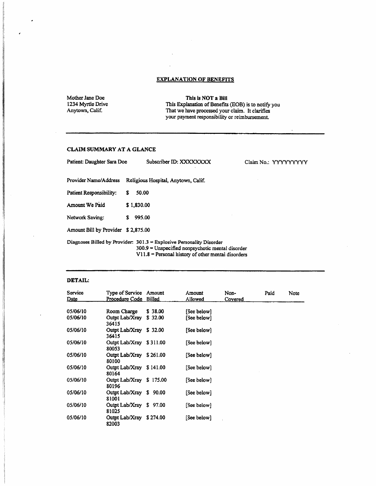J.

Mother Jane Doe 1234 Myrtle Drive Anytown, Calif.

This is NOT a Bill This Explanation of Benefits (EOB) is to notify you<br>That we have processed your claim. It clarifies<br>your payment responsibility or reimbursement.

#### CLAIM SUMMARY AT A GLANCE

| Patient: Daughter Sara Doe         |            | Subscriber ID: XXXXXXXX                                                                                                                                                              | Claim No.: YYYYYYYYY |
|------------------------------------|------------|--------------------------------------------------------------------------------------------------------------------------------------------------------------------------------------|----------------------|
| Provider Name/Address              |            | Religious Hospital, Anytown, Calif.                                                                                                                                                  |                      |
| Patient Responsibility:            | S          | 50.00                                                                                                                                                                                |                      |
| Amount We Paid                     | \$1,830.00 |                                                                                                                                                                                      |                      |
| Network Saving:                    | S.         | 995.00                                                                                                                                                                               |                      |
| Amount Bill by Provider \$2,875.00 |            |                                                                                                                                                                                      |                      |
|                                    |            | Diagnoses Billed by Provider: $301.3$ = Explosive Personality Disorder<br>$300.9$ = Unspecified nonpsychotic mental disorder<br>$V11.8$ = Personal history of other mental disorders |                      |

#### DETAIL:

| Service  | Type of Service Amount<br>Procedure Code Billed |          | Amount      | Non-    | Paid | Note |
|----------|-------------------------------------------------|----------|-------------|---------|------|------|
| Date     |                                                 |          | Allowed     | Covered |      |      |
| 05/06/10 | Room Charge                                     | \$38.00  | [See below] |         |      |      |
| 05/06/10 | Outpt Lab/Xray<br>36415                         | \$32.00  | [See below] |         |      |      |
| 05/06/10 | Outpt Lab/Xray \$32.00<br>36415                 |          | [See below] |         |      |      |
| 05/06/10 | Outpt Lab/Xray \$311.00<br>80053                |          | [See below] |         |      |      |
| 05/06/10 | Outpt Lab/Xray \$261.00<br>80100                |          | [See below] |         |      |      |
| 05/06/10 | Outpt Lab/Xray \$141.00<br>80164                |          | [See below] |         |      |      |
| 05/06/10 | Outpt Lab/Xray \$175.00<br>80196                |          | [See below] |         |      |      |
| 05/06/10 | Outpt Lab/Xray \$90.00<br>81001                 |          | [See below] |         |      |      |
| 05/06/10 | Outpt Lab/Xray \$97.00<br>81025                 |          | [See below] |         |      |      |
| 05/06/10 | Outpt Lab/Xray<br>82003                         | \$274.00 | [See below] |         |      |      |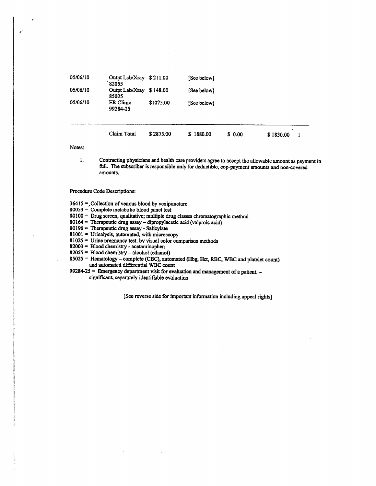| 05/06/10 | <b>ER Clinic</b><br>99284-25 | \$1075.00 | [See below] |         |           |  |
|----------|------------------------------|-----------|-------------|---------|-----------|--|
|          | Claim Total                  | \$2875.00 | \$1880.00   | \$ 0.00 | \$1830.00 |  |

Notes:

Contracting physicians and health care providers agree to accept the allowable amount as payment in 1. full. The subscriber is responsible only for deductible, cop-payment amounts and non-covered amounts.

#### Procedure Code Descriptions:

 $36415$  = Collection of venous blood by venipuncture

- 80053 = Complete metabolic blood panel test
- 80100 = Drug screen, qualitative; multiple drug classes chromatographic method
- 80164 = Therapeutic drug assay dipropylacetic acid (valproic acid)
- 80196 = Therapeutic drug assay Salicylate
- $81001 =$  Urinalysis, automated, with microscopy
- $81025$  = Urine pregnancy test, by visual color comparison methods
- 82003 = Blood chemistry acetaminophen
- 82055 = Blood chemistry alcohol (ethanol)
- 85025 = Hematology complete (CBC), automated (Hbg, Hct, RBC, WBC and platelet count) and automated differential WBC count
- 99284-25 = Emergency department visit for evaluation and management of a patient. significant, separately identifiable evaluation

[See reverse side for important information including appeal rights]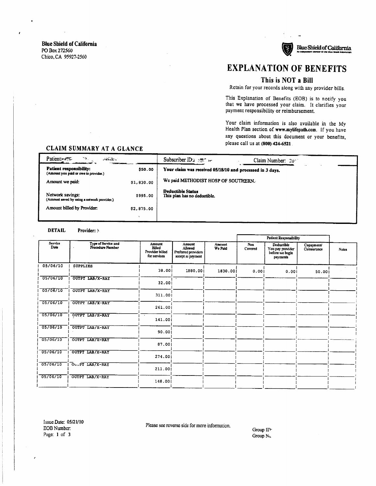## This is NOT a Bill

Retain for your records along with any provider bills.

This Explanation of Benefits (EOB) is to notify you that we have processed your claim. It clarifies your payment responsibility or reimbursement.

Your claim information is also available in the My Health Plan section of www.mylifepath.com. If you have any questions about this document or your benefits, please call us at (800) 424-6521.

# CLAIM SUMMARY AT A GLANCE

| Patient-<br>79.<br>$-225 - 12$                                   |            | Subscriber $ID: 1257$<br>Claim Number: $20+$              |
|------------------------------------------------------------------|------------|-----------------------------------------------------------|
| Patient responsibility:<br>(Amount you paid or owe to provider.) | \$50.00    | Your claim was received 05/18/10 and processed in 3 days. |
| Amount we paid:                                                  | \$1,830.00 | We paid METHODIST HOSP OF SOUTHERN.                       |
| Network savings:<br>(Amount saved by using a network provider.)  | \$995.00   | Deductible Status<br>This plan has no deductible.         |
| Amount billed by Provider:                                       | \$2,875.00 |                                                           |
|                                                                  |            |                                                           |

#### **DETAIL** Provider: >

|                 |                                         |                                                            |                                                               |                          |                | <b>Patient Responsibility</b>                                 |                           |              |
|-----------------|-----------------------------------------|------------------------------------------------------------|---------------------------------------------------------------|--------------------------|----------------|---------------------------------------------------------------|---------------------------|--------------|
| Service<br>Date | Type of Service and<br>Procedure Number | <b>Amount</b><br>Billed<br>Provider billed<br>for services | Amount<br>Allowed<br>Preferred providers<br>accept as payment | <b>Amount</b><br>We Paid | Non<br>Covered | Deductible<br>You pay provider<br>before we begin<br>payments | Copayment/<br>Coinsurance | <b>Notes</b> |
| 05/06/10        | <b>SUPPLIES</b>                         | 38.001                                                     | 1880.001                                                      | 1830.001                 | 0.001          | 0.001                                                         | 50.001                    |              |
| 05706710        | OUTPT LAB/X-RAY                         | 32.001                                                     | $\overline{\phantom{a}}$                                      |                          |                |                                                               |                           |              |
| 05/06/10        | OUTPT LAB/X-RAY                         | 311.001                                                    |                                                               |                          |                |                                                               |                           |              |
| 05/06/10        | <b>OUTPT LAB/X-RAY</b>                  | 261.00                                                     |                                                               |                          |                |                                                               |                           |              |
| 05/06/10        | OUTPT LAB/X-RAY                         | 141.001                                                    |                                                               |                          |                |                                                               |                           |              |
| 05/06/10        | OUTPT LAB/X-RAY                         | 90.00j                                                     |                                                               |                          |                |                                                               |                           |              |
| 05706710        | OUTPT LAB/X-RAY                         | 87.001                                                     |                                                               |                          |                |                                                               |                           |              |
| 05/06/10        | OUTPT LAB/X-RAY                         | 274.001                                                    |                                                               |                          |                |                                                               |                           |              |
| 05/06/10        | OULPT LAB/X-RAY                         | 211,001                                                    |                                                               |                          |                |                                                               |                           |              |
| 05/06/10        | OUTPT LAB/X-RAY                         | 148.00                                                     |                                                               |                          |                |                                                               |                           |              |
|                 |                                         |                                                            |                                                               |                          |                |                                                               |                           |              |

Issue Date: 05/21/10 EOB Number: Page: 1 of 3

Please see reverse side for more information.

Group IP. Group NL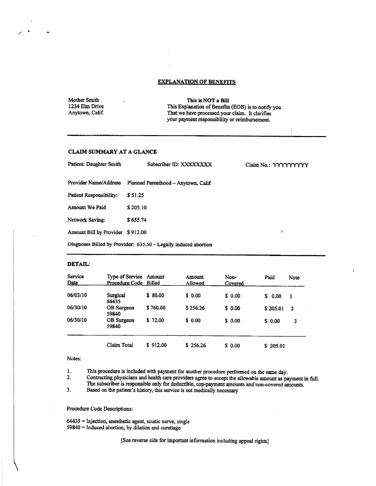Mother Smith 1234 Elm Drive Anytown, Calif.

 $\hat{\mathbf{a}}$ 

This is NOT a Bill This Explanation of Benefits (EOB) is to notify you That we have processed your claim. It clarifies your payment responsibility or reimbursement.

 $\ddot{\phantom{a}}$ 

 $\vdots$ 

## **CLAIM SUMMARY AT A GLANCE**

| Patient: Daughter Smith          | Subscriber ID: XXXXXXXX                                         | Claim No.: YYYYYYYYY |
|----------------------------------|-----------------------------------------------------------------|----------------------|
|                                  | Provider Name/Address Planned Parenthood - Anytown, Calif       |                      |
| Patient Responsibility:          | \$51.25                                                         |                      |
| Amount We Paid                   | \$205.10                                                        |                      |
| Network Saving:                  | \$655.74                                                        |                      |
| Amount Bill by Provider \$912.00 |                                                                 |                      |
|                                  | Diagnoses Billed by Provider: 635.50 - Legally induced abortion |                      |

#### DETAIL:

| Service<br>Date | Type of Service Amount<br>Procedure Code Billed |          | Amount<br>Allowed | Non-<br>Covered | Paid     | Note         |
|-----------------|-------------------------------------------------|----------|-------------------|-----------------|----------|--------------|
| 06/03/10        | Surgical<br>64435                               | \$ 80.00 | \$0.00            | \$ 0.00         | \$ 0.00  |              |
| <b>06/30/10</b> | OB Surgeon<br>59840                             | \$760.00 | \$256.26          | \$ 0.00         | \$205.01 | $\mathbf{2}$ |
| 06/30/10        | OB Surgeon<br>59840                             | \$72.00  | \$0.00            | \$0.00          | \$ 0.00  | 3            |
|                 | Claim Total                                     | \$912.00 | \$256.26          | \$ 0.00         | \$205.01 |              |

#### Notes:

 $\mathbf{1}$ . This procedure is included with payment for another procedure performed on the same day.

 $2.$ Contracting physicians and health care providers agree to accept the allowable amount as payment in full. The subscriber is responsible only for deductible, cop-payment amounts and non-covered amounts.

 $3.$ Based on the patient's history, this service is not medically necessary

#### Procedure Code Descriptions:

64435 = Injection, anesthetic agent, sciatic nerve, single  $59840$  = Induced abortion, by dilation and curettage

[See reverse side for important information including appeal rights]